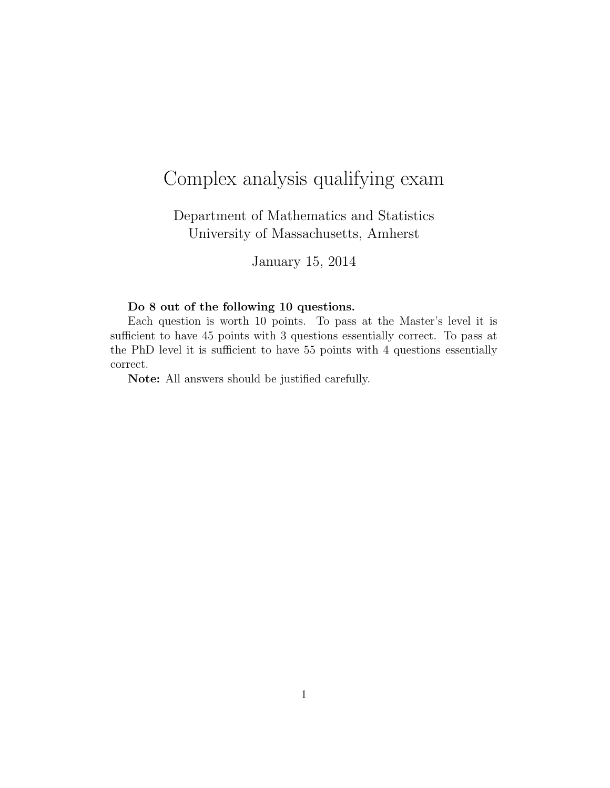## Complex analysis qualifying exam

Department of Mathematics and Statistics University of Massachusetts, Amherst

January 15, 2014

## Do 8 out of the following 10 questions.

Each question is worth 10 points. To pass at the Master's level it is sufficient to have 45 points with 3 questions essentially correct. To pass at the PhD level it is sufficient to have 55 points with 4 questions essentially correct.

Note: All answers should be justified carefully.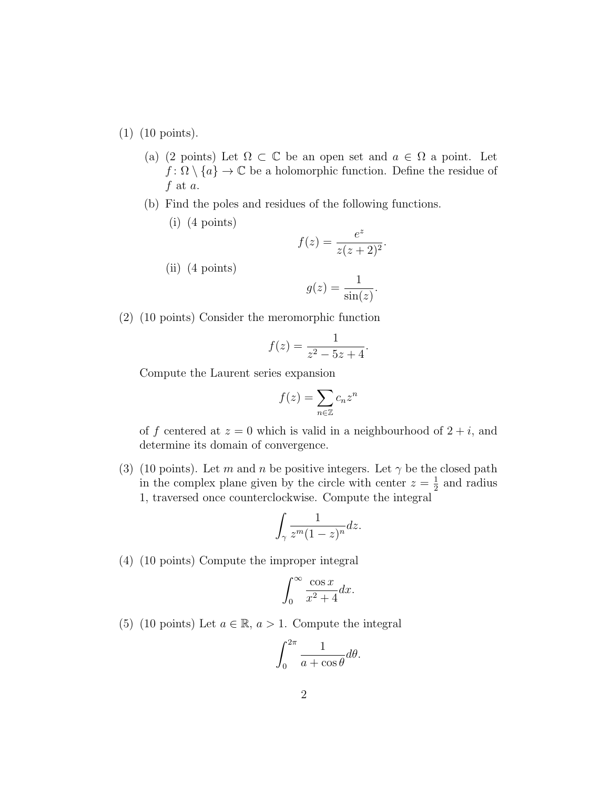(1) (10 points).

- (a) (2 points) Let  $\Omega \subset \mathbb{C}$  be an open set and  $a \in \Omega$  a point. Let  $f: \Omega \setminus \{a\} \to \mathbb{C}$  be a holomorphic function. Define the residue of  $f$  at  $a$ .
- (b) Find the poles and residues of the following functions.
	- (i) (4 points)

$$
f(z) = \frac{e^z}{z(z+2)^2}.
$$

(ii) (4 points)

$$
g(z) = \frac{1}{\sin(z)}.
$$

(2) (10 points) Consider the meromorphic function

$$
f(z) = \frac{1}{z^2 - 5z + 4}.
$$

Compute the Laurent series expansion

$$
f(z) = \sum_{n \in \mathbb{Z}} c_n z^n
$$

of f centered at  $z = 0$  which is valid in a neighbourhood of  $2 + i$ , and determine its domain of convergence.

(3) (10 points). Let m and n be positive integers. Let  $\gamma$  be the closed path in the complex plane given by the circle with center  $z = \frac{1}{2}$  $\frac{1}{2}$  and radius 1, traversed once counterclockwise. Compute the integral

$$
\int_{\gamma} \frac{1}{z^m (1-z)^n} dz.
$$

(4) (10 points) Compute the improper integral

$$
\int_0^\infty \frac{\cos x}{x^2 + 4} dx.
$$

(5) (10 points) Let  $a \in \mathbb{R}$ ,  $a > 1$ . Compute the integral

$$
\int_0^{2\pi} \frac{1}{a + \cos \theta} d\theta.
$$